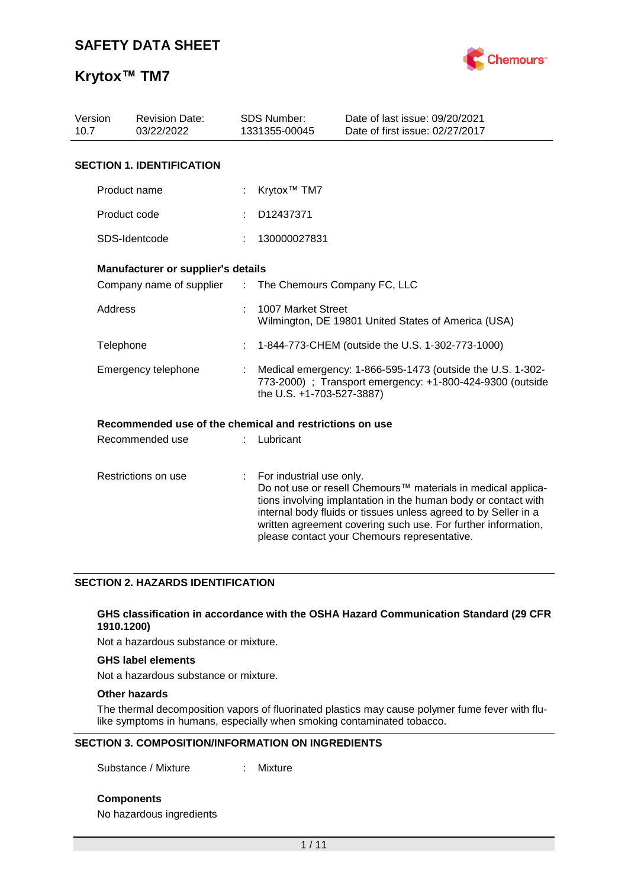

| Version<br><b>Revision Date:</b><br>10.7<br>03/22/2022 |                                                         |    | SDS Number:<br>1331355-00045 | Date of last issue: 09/20/2021<br>Date of first issue: 02/27/2017                                                                                                                                                                                                                                                  |  |
|--------------------------------------------------------|---------------------------------------------------------|----|------------------------------|--------------------------------------------------------------------------------------------------------------------------------------------------------------------------------------------------------------------------------------------------------------------------------------------------------------------|--|
|                                                        | <b>SECTION 1. IDENTIFICATION</b>                        |    |                              |                                                                                                                                                                                                                                                                                                                    |  |
|                                                        | Product name                                            |    | Krytox <sup>™</sup> TM7      |                                                                                                                                                                                                                                                                                                                    |  |
|                                                        | Product code                                            |    | D12437371                    |                                                                                                                                                                                                                                                                                                                    |  |
|                                                        | SDS-Identcode                                           |    | 130000027831                 |                                                                                                                                                                                                                                                                                                                    |  |
|                                                        | Manufacturer or supplier's details                      |    |                              |                                                                                                                                                                                                                                                                                                                    |  |
|                                                        | Company name of supplier                                | d. | The Chemours Company FC, LLC |                                                                                                                                                                                                                                                                                                                    |  |
| Address                                                |                                                         |    | 1007 Market Street           | Wilmington, DE 19801 United States of America (USA)                                                                                                                                                                                                                                                                |  |
| Telephone                                              |                                                         |    |                              | 1-844-773-CHEM (outside the U.S. 1-302-773-1000)                                                                                                                                                                                                                                                                   |  |
|                                                        | Emergency telephone                                     |    | the U.S. +1-703-527-3887)    | Medical emergency: 1-866-595-1473 (outside the U.S. 1-302-<br>773-2000) ; Transport emergency: +1-800-424-9300 (outside                                                                                                                                                                                            |  |
|                                                        | Recommended use of the chemical and restrictions on use |    |                              |                                                                                                                                                                                                                                                                                                                    |  |
|                                                        | Recommended use                                         |    | Lubricant                    |                                                                                                                                                                                                                                                                                                                    |  |
|                                                        | Restrictions on use                                     |    | For industrial use only.     | Do not use or resell Chemours™ materials in medical applica-<br>tions involving implantation in the human body or contact with<br>internal body fluids or tissues unless agreed to by Seller in a<br>written agreement covering such use. For further information,<br>please contact your Chemours representative. |  |

#### **SECTION 2. HAZARDS IDENTIFICATION**

#### **GHS classification in accordance with the OSHA Hazard Communication Standard (29 CFR 1910.1200)**

Not a hazardous substance or mixture.

#### **GHS label elements**

Not a hazardous substance or mixture.

#### **Other hazards**

The thermal decomposition vapors of fluorinated plastics may cause polymer fume fever with flulike symptoms in humans, especially when smoking contaminated tobacco.

#### **SECTION 3. COMPOSITION/INFORMATION ON INGREDIENTS**

Substance / Mixture : Mixture

**Components**

No hazardous ingredients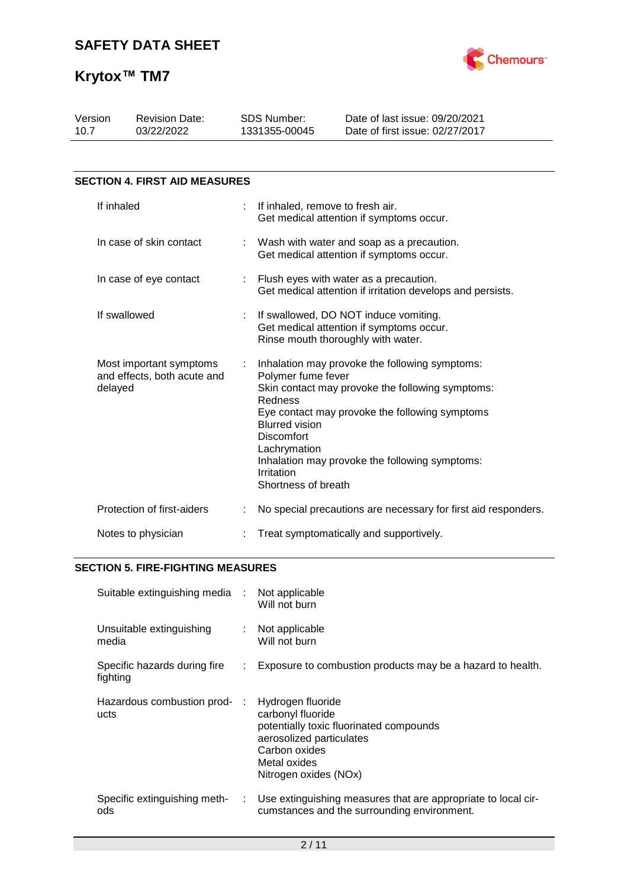

| Version<br>10.7         |              | <b>Revision Date:</b><br>03/22/2022                    |                                                                                       | <b>SDS Number:</b><br>1331355-00045                                                                                              | Date of last issue: 09/20/2021<br>Date of first issue: 02/27/2017                                                                                                                                      |
|-------------------------|--------------|--------------------------------------------------------|---------------------------------------------------------------------------------------|----------------------------------------------------------------------------------------------------------------------------------|--------------------------------------------------------------------------------------------------------------------------------------------------------------------------------------------------------|
|                         |              |                                                        |                                                                                       |                                                                                                                                  |                                                                                                                                                                                                        |
|                         |              | <b>SECTION 4. FIRST AID MEASURES</b>                   |                                                                                       |                                                                                                                                  |                                                                                                                                                                                                        |
|                         | If inhaled   |                                                        | ÷                                                                                     | If inhaled, remove to fresh air.                                                                                                 | Get medical attention if symptoms occur.                                                                                                                                                               |
| In case of skin contact |              |                                                        | Wash with water and soap as a precaution.<br>Get medical attention if symptoms occur. |                                                                                                                                  |                                                                                                                                                                                                        |
|                         |              | In case of eye contact                                 |                                                                                       |                                                                                                                                  | Flush eyes with water as a precaution.<br>Get medical attention if irritation develops and persists.                                                                                                   |
|                         | If swallowed |                                                        | ÷                                                                                     |                                                                                                                                  | If swallowed, DO NOT induce vomiting.<br>Get medical attention if symptoms occur.<br>Rinse mouth thoroughly with water.                                                                                |
|                         | delayed      | Most important symptoms<br>and effects, both acute and |                                                                                       | Polymer fume fever<br>Redness<br><b>Blurred vision</b><br><b>Discomfort</b><br>Lachrymation<br>Irritation<br>Shortness of breath | Inhalation may provoke the following symptoms:<br>Skin contact may provoke the following symptoms:<br>Eye contact may provoke the following symptoms<br>Inhalation may provoke the following symptoms: |
|                         |              | Protection of first-aiders                             |                                                                                       |                                                                                                                                  | No special precautions are necessary for first aid responders.                                                                                                                                         |
|                         |              | Notes to physician                                     |                                                                                       |                                                                                                                                  | Treat symptomatically and supportively.                                                                                                                                                                |

### **SECTION 5. FIRE-FIGHTING MEASURES**

| Suitable extinguishing media :           |    | Not applicable<br>Will not burn                                                                                                                                         |
|------------------------------------------|----|-------------------------------------------------------------------------------------------------------------------------------------------------------------------------|
| Unsuitable extinguishing<br>media        | ÷. | Not applicable<br>Will not burn                                                                                                                                         |
| Specific hazards during fire<br>fighting | ÷. | Exposure to combustion products may be a hazard to health.                                                                                                              |
| Hazardous combustion prod-:<br>ucts      |    | Hydrogen fluoride<br>carbonyl fluoride<br>potentially toxic fluorinated compounds<br>aerosolized particulates<br>Carbon oxides<br>Metal oxides<br>Nitrogen oxides (NOx) |
| Specific extinguishing meth-<br>ods      | ÷. | Use extinguishing measures that are appropriate to local cir-<br>cumstances and the surrounding environment.                                                            |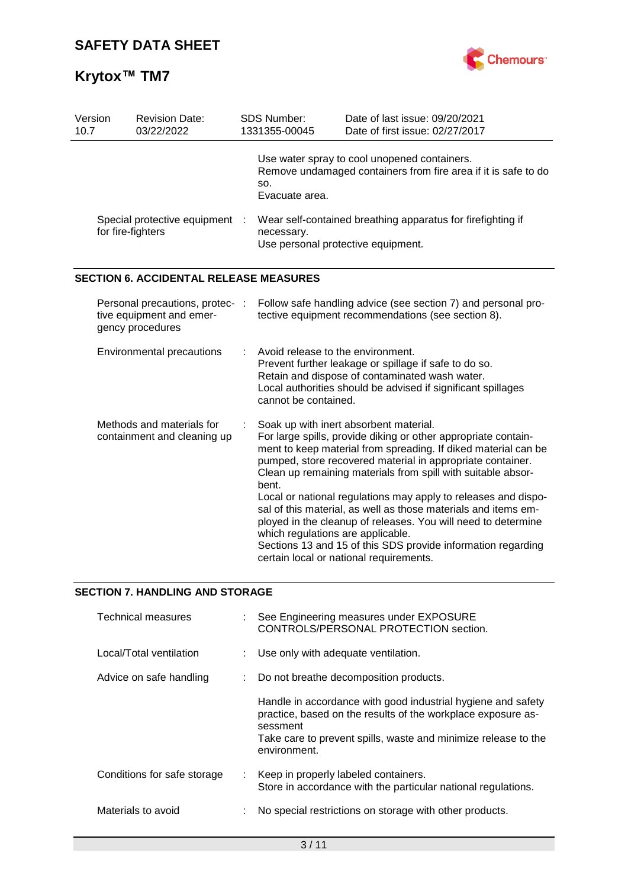

| Version<br>10.7 |                           | <b>Revision Date:</b><br>03/22/2022                                             |   | <b>SDS Number:</b><br>1331355-00045                                                                                                                                                                                                  | Date of last issue: 09/20/2021<br>Date of first issue: 02/27/2017                                                                                                                                                                                                                                                                                                                                                                                                                                                                                                                                                        |  |
|-----------------|---------------------------|---------------------------------------------------------------------------------|---|--------------------------------------------------------------------------------------------------------------------------------------------------------------------------------------------------------------------------------------|--------------------------------------------------------------------------------------------------------------------------------------------------------------------------------------------------------------------------------------------------------------------------------------------------------------------------------------------------------------------------------------------------------------------------------------------------------------------------------------------------------------------------------------------------------------------------------------------------------------------------|--|
|                 |                           |                                                                                 |   | SO.<br>Evacuate area.                                                                                                                                                                                                                | Use water spray to cool unopened containers.<br>Remove undamaged containers from fire area if it is safe to do                                                                                                                                                                                                                                                                                                                                                                                                                                                                                                           |  |
|                 | for fire-fighters         | Special protective equipment :                                                  |   | necessary.                                                                                                                                                                                                                           | Wear self-contained breathing apparatus for firefighting if<br>Use personal protective equipment.                                                                                                                                                                                                                                                                                                                                                                                                                                                                                                                        |  |
|                 |                           | <b>SECTION 6. ACCIDENTAL RELEASE MEASURES</b>                                   |   |                                                                                                                                                                                                                                      |                                                                                                                                                                                                                                                                                                                                                                                                                                                                                                                                                                                                                          |  |
|                 |                           | Personal precautions, protec- :<br>tive equipment and emer-<br>gency procedures |   |                                                                                                                                                                                                                                      | Follow safe handling advice (see section 7) and personal pro-<br>tective equipment recommendations (see section 8).                                                                                                                                                                                                                                                                                                                                                                                                                                                                                                      |  |
|                 | Environmental precautions |                                                                                 | ÷ | Avoid release to the environment.<br>Prevent further leakage or spillage if safe to do so.<br>Retain and dispose of contaminated wash water.<br>Local authorities should be advised if significant spillages<br>cannot be contained. |                                                                                                                                                                                                                                                                                                                                                                                                                                                                                                                                                                                                                          |  |
|                 |                           | Methods and materials for<br>containment and cleaning up                        |   | bent.<br>which regulations are applicable.                                                                                                                                                                                           | Soak up with inert absorbent material.<br>For large spills, provide diking or other appropriate contain-<br>ment to keep material from spreading. If diked material can be<br>pumped, store recovered material in appropriate container.<br>Clean up remaining materials from spill with suitable absor-<br>Local or national regulations may apply to releases and dispo-<br>sal of this material, as well as those materials and items em-<br>ployed in the cleanup of releases. You will need to determine<br>Sections 13 and 15 of this SDS provide information regarding<br>certain local or national requirements. |  |

### **SECTION 7. HANDLING AND STORAGE**

| <b>Technical measures</b>   | : See Engineering measures under EXPOSURE<br>CONTROLS/PERSONAL PROTECTION section.                                                                                                                                         |
|-----------------------------|----------------------------------------------------------------------------------------------------------------------------------------------------------------------------------------------------------------------------|
| Local/Total ventilation     | : Use only with adequate ventilation.                                                                                                                                                                                      |
| Advice on safe handling     | Do not breathe decomposition products.                                                                                                                                                                                     |
|                             | Handle in accordance with good industrial hygiene and safety<br>practice, based on the results of the workplace exposure as-<br>sessment<br>Take care to prevent spills, waste and minimize release to the<br>environment. |
| Conditions for safe storage | : Keep in properly labeled containers.<br>Store in accordance with the particular national regulations.                                                                                                                    |
| Materials to avoid          | No special restrictions on storage with other products.                                                                                                                                                                    |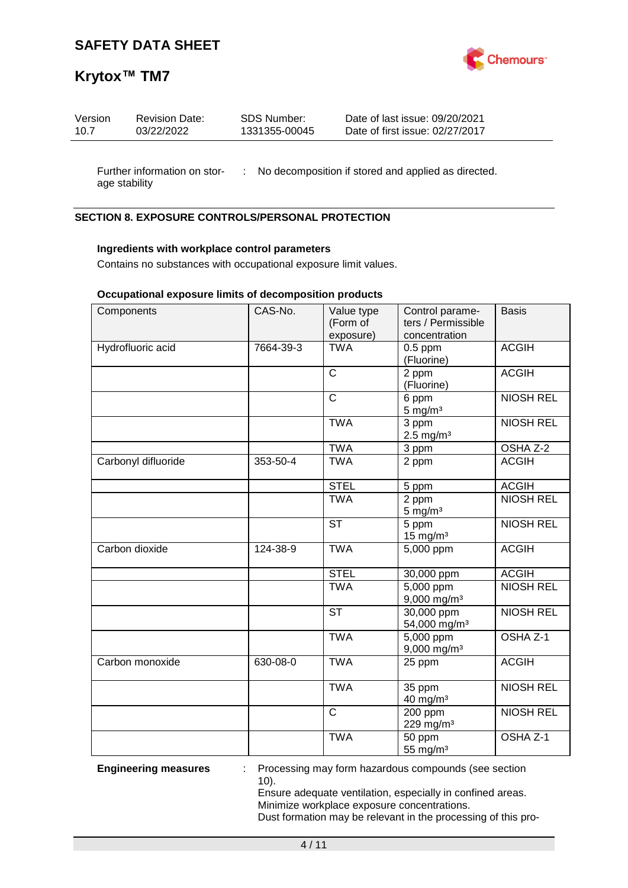

## **Krytox™ TM7**

| Version | <b>Revision Date:</b> | SDS Number:   | Date of last issue: 09/20/2021  |
|---------|-----------------------|---------------|---------------------------------|
| 10.7    | 03/22/2022            | 1331355-00045 | Date of first issue: 02/27/2017 |
|         |                       |               |                                 |

Further information on stor- : No decomposition if stored and applied as directed. age stability

### **SECTION 8. EXPOSURE CONTROLS/PERSONAL PROTECTION**

#### **Ingredients with workplace control parameters**

Contains no substances with occupational exposure limit values.

#### **Occupational exposure limits of decomposition products**

| Components          | CAS-No.   | Value type<br>(Form of<br>exposure) | Control parame-<br>ters / Permissible<br>concentration | <b>Basis</b>        |
|---------------------|-----------|-------------------------------------|--------------------------------------------------------|---------------------|
| Hydrofluoric acid   | 7664-39-3 | <b>TWA</b>                          | $0.5$ ppm<br>(Fluorine)                                | <b>ACGIH</b>        |
|                     |           | $\mathsf{C}$                        | 2 ppm<br>(Fluorine)                                    | <b>ACGIH</b>        |
|                     |           | $\overline{\text{c}}$               | 6 ppm<br>$5$ mg/m <sup>3</sup>                         | <b>NIOSH REL</b>    |
|                     |           | <b>TWA</b>                          | 3 ppm<br>$2.5$ mg/m <sup>3</sup>                       | <b>NIOSH REL</b>    |
|                     |           | <b>TWA</b>                          | 3 ppm                                                  | OSHA Z-2            |
| Carbonyl difluoride | 353-50-4  | <b>TWA</b>                          | 2 ppm                                                  | <b>ACGIH</b>        |
|                     |           | <b>STEL</b>                         | 5 ppm                                                  | <b>ACGIH</b>        |
|                     |           | <b>TWA</b>                          | 2 ppm<br>$5 \text{ mg/m}^3$                            | <b>NIOSH REL</b>    |
|                     |           | <b>ST</b>                           | 5 ppm<br>15 mg/m $3$                                   | <b>NIOSH REL</b>    |
| Carbon dioxide      | 124-38-9  | <b>TWA</b>                          | 5,000 ppm                                              | <b>ACGIH</b>        |
|                     |           | <b>STEL</b>                         | 30,000 ppm                                             | <b>ACGIH</b>        |
|                     |           | <b>TWA</b>                          | $\overline{5,000}$ ppm<br>9,000 mg/m <sup>3</sup>      | <b>NIOSH REL</b>    |
|                     |           | $\overline{\mathsf{ST}}$            | 30,000 ppm<br>54,000 mg/m <sup>3</sup>                 | <b>NIOSH REL</b>    |
|                     |           | <b>TWA</b>                          | 5,000 ppm<br>$9,000$ mg/m <sup>3</sup>                 | OSHA <sub>Z-1</sub> |
| Carbon monoxide     | 630-08-0  | <b>TWA</b>                          | 25 ppm                                                 | <b>ACGIH</b>        |
|                     |           | <b>TWA</b>                          | 35 ppm<br>40 mg/m <sup>3</sup>                         | <b>NIOSH REL</b>    |
|                     |           | $\mathsf{C}$                        | 200 ppm<br>229 mg/m $3$                                | <b>NIOSH REL</b>    |
|                     |           | <b>TWA</b>                          | 50 ppm<br>55 mg/m <sup>3</sup>                         | OSHA <sub>Z-1</sub> |

**Engineering measures** : Processing may form hazardous compounds (see section 10).

> Ensure adequate ventilation, especially in confined areas. Minimize workplace exposure concentrations. Dust formation may be relevant in the processing of this pro-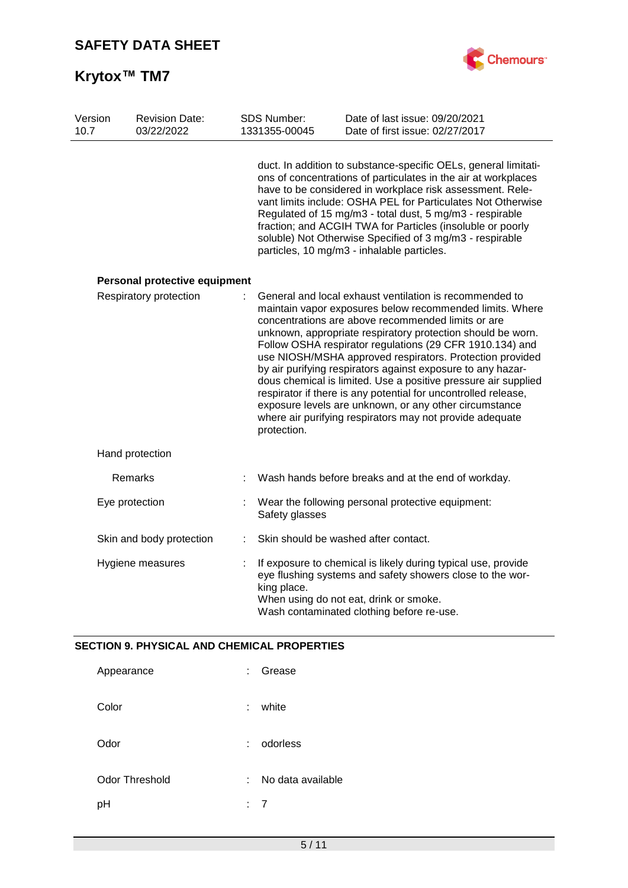

| Version<br>10.7 | <b>Revision Date:</b><br>03/22/2022 | <b>SDS Number:</b><br>1331355-00045 | Date of last issue: 09/20/2021<br>Date of first issue: 02/27/2017                                                                                                                                                                                                                                                                                                                                                                                                                                                                                                                                                                                                                         |
|-----------------|-------------------------------------|-------------------------------------|-------------------------------------------------------------------------------------------------------------------------------------------------------------------------------------------------------------------------------------------------------------------------------------------------------------------------------------------------------------------------------------------------------------------------------------------------------------------------------------------------------------------------------------------------------------------------------------------------------------------------------------------------------------------------------------------|
|                 |                                     |                                     | duct. In addition to substance-specific OELs, general limitati-<br>ons of concentrations of particulates in the air at workplaces<br>have to be considered in workplace risk assessment. Rele-<br>vant limits include: OSHA PEL for Particulates Not Otherwise<br>Regulated of 15 mg/m3 - total dust, 5 mg/m3 - respirable<br>fraction; and ACGIH TWA for Particles (insoluble or poorly<br>soluble) Not Otherwise Specified of 3 mg/m3 - respirable<br>particles, 10 mg/m3 - inhalable particles.                                                                                                                                                                                        |
|                 | Personal protective equipment       |                                     |                                                                                                                                                                                                                                                                                                                                                                                                                                                                                                                                                                                                                                                                                           |
|                 | Respiratory protection              | protection.                         | General and local exhaust ventilation is recommended to<br>maintain vapor exposures below recommended limits. Where<br>concentrations are above recommended limits or are<br>unknown, appropriate respiratory protection should be worn.<br>Follow OSHA respirator regulations (29 CFR 1910.134) and<br>use NIOSH/MSHA approved respirators. Protection provided<br>by air purifying respirators against exposure to any hazar-<br>dous chemical is limited. Use a positive pressure air supplied<br>respirator if there is any potential for uncontrolled release,<br>exposure levels are unknown, or any other circumstance<br>where air purifying respirators may not provide adequate |
|                 | Hand protection                     |                                     |                                                                                                                                                                                                                                                                                                                                                                                                                                                                                                                                                                                                                                                                                           |
|                 | Remarks                             |                                     | Wash hands before breaks and at the end of workday.                                                                                                                                                                                                                                                                                                                                                                                                                                                                                                                                                                                                                                       |
|                 | Eye protection                      | Safety glasses                      | Wear the following personal protective equipment:                                                                                                                                                                                                                                                                                                                                                                                                                                                                                                                                                                                                                                         |
|                 | Skin and body protection            |                                     | Skin should be washed after contact.                                                                                                                                                                                                                                                                                                                                                                                                                                                                                                                                                                                                                                                      |
|                 | Hygiene measures                    | king place.                         | If exposure to chemical is likely during typical use, provide<br>eye flushing systems and safety showers close to the wor-<br>When using do not eat, drink or smoke.<br>Wash contaminated clothing before re-use.                                                                                                                                                                                                                                                                                                                                                                                                                                                                         |

### **SECTION 9. PHYSICAL AND CHEMICAL PROPERTIES**

| Appearance     | ÷. | Grease            |
|----------------|----|-------------------|
| Color          | t. | white             |
| Odor           |    | odorless          |
| Odor Threshold | ÷. | No data available |
| рH             | t. | 7                 |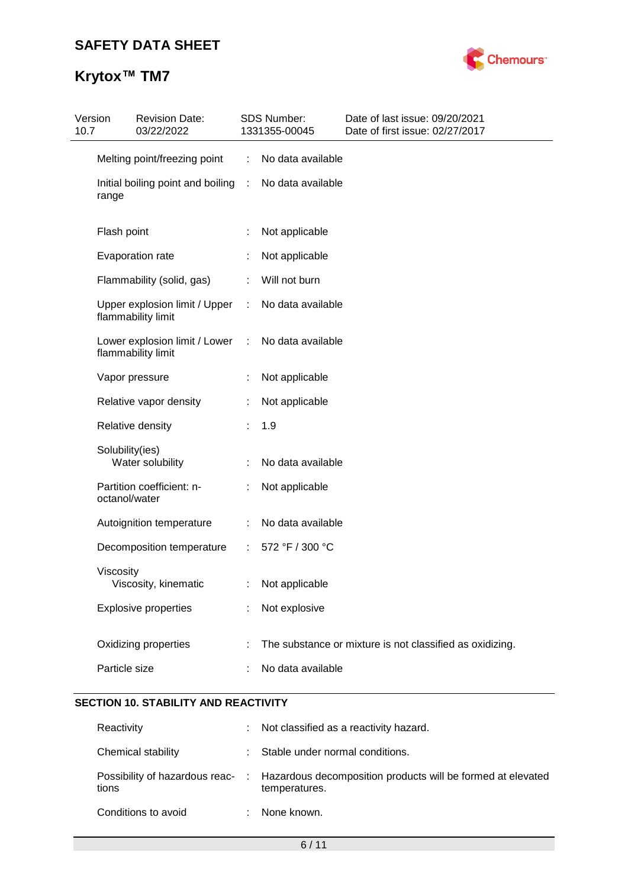# **Krytox™ TM7**



| 10.7 | Version         | <b>Revision Date:</b><br>03/22/2022                 |                | SDS Number:<br>1331355-00045 | Date of last issue: 09/20/2021<br>Date of first issue: 02/27/2017 |
|------|-----------------|-----------------------------------------------------|----------------|------------------------------|-------------------------------------------------------------------|
|      |                 | Melting point/freezing point                        | ÷              | No data available            |                                                                   |
|      | range           | Initial boiling point and boiling :                 |                | No data available            |                                                                   |
|      | Flash point     |                                                     |                | Not applicable               |                                                                   |
|      |                 | Evaporation rate                                    |                | Not applicable               |                                                                   |
|      |                 | Flammability (solid, gas)                           | t.             | Will not burn                |                                                                   |
|      |                 | Upper explosion limit / Upper<br>flammability limit | ÷.             | No data available            |                                                                   |
|      |                 | Lower explosion limit / Lower<br>flammability limit | ÷.             | No data available            |                                                                   |
|      |                 | Vapor pressure                                      |                | Not applicable               |                                                                   |
|      |                 | Relative vapor density                              |                | Not applicable               |                                                                   |
|      |                 | Relative density                                    |                | 1.9                          |                                                                   |
|      | Solubility(ies) | Water solubility                                    |                | No data available            |                                                                   |
|      | octanol/water   | Partition coefficient: n-                           |                | Not applicable               |                                                                   |
|      |                 | Autoignition temperature                            | ÷.             | No data available            |                                                                   |
|      |                 | Decomposition temperature                           | $\mathbb{R}^n$ | 572 °F / 300 °C              |                                                                   |
|      | Viscosity       | Viscosity, kinematic                                |                | : Not applicable             |                                                                   |
|      |                 | <b>Explosive properties</b>                         |                | Not explosive                |                                                                   |
|      |                 | Oxidizing properties                                |                |                              | The substance or mixture is not classified as oxidizing.          |
|      | Particle size   |                                                     |                | No data available            |                                                                   |

## **SECTION 10. STABILITY AND REACTIVITY**

| Reactivity          | : Not classified as a reactivity hazard.                                                                      |
|---------------------|---------------------------------------------------------------------------------------------------------------|
| Chemical stability  | : Stable under normal conditions.                                                                             |
| tions               | Possibility of hazardous reac- : Hazardous decomposition products will be formed at elevated<br>temperatures. |
| Conditions to avoid | None known.                                                                                                   |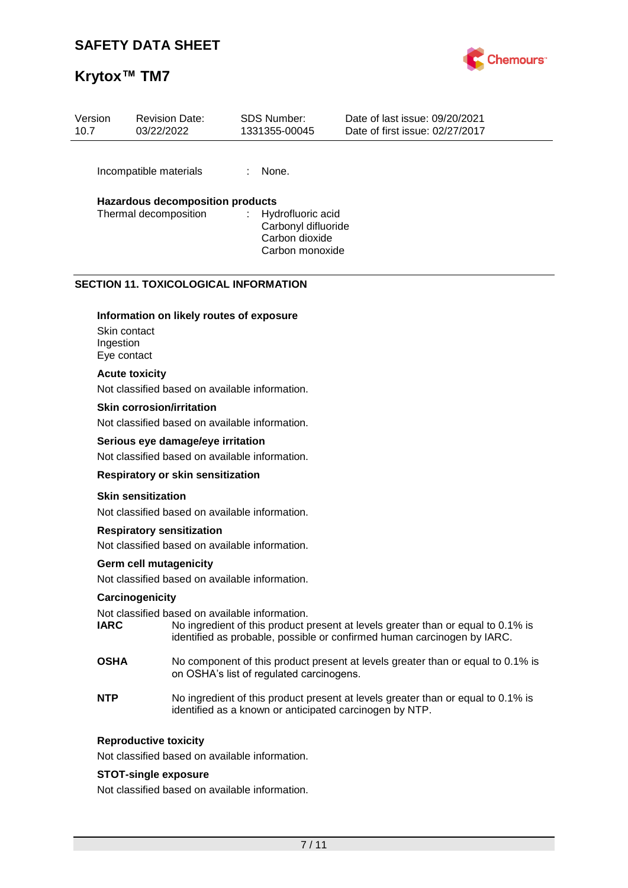## **Krytox™ TM7**



| Version<br>10.7 | <b>Revision Date:</b><br>03/22/2022                                                      |                             | SDS Number:<br>1331355-00045                                                  | Date of last issue: 09/20/2021<br>Date of first issue: 02/27/2017 |
|-----------------|------------------------------------------------------------------------------------------|-----------------------------|-------------------------------------------------------------------------------|-------------------------------------------------------------------|
|                 | Incompatible materials                                                                   |                             | None.                                                                         |                                                                   |
|                 | <b>Hazardous decomposition products</b><br>Thermal decomposition                         | $\mathcal{L}^{\mathcal{L}}$ | Hydrofluoric acid<br>Carbonyl difluoride<br>Carbon dioxide<br>Carbon monoxide |                                                                   |
| Skin contact    | <b>SECTION 11. TOXICOLOGICAL INFORMATION</b><br>Information on likely routes of exposure |                             |                                                                               |                                                                   |

Skin contact Ingestion

Eye contact

#### **Acute toxicity**

Not classified based on available information.

#### **Skin corrosion/irritation**

Not classified based on available information.

#### **Serious eye damage/eye irritation**

Not classified based on available information.

#### **Respiratory or skin sensitization**

#### **Skin sensitization**

Not classified based on available information.

#### **Respiratory sensitization**

Not classified based on available information.

#### **Germ cell mutagenicity**

Not classified based on available information.

#### **Carcinogenicity**

Not classified based on available information.<br> **IARC No** ingredient of this product to

- No ingredient of this product present at levels greater than or equal to 0.1% is identified as probable, possible or confirmed human carcinogen by IARC.
- **OSHA** No component of this product present at levels greater than or equal to 0.1% is on OSHA's list of regulated carcinogens.
- **NTP** No ingredient of this product present at levels greater than or equal to 0.1% is identified as a known or anticipated carcinogen by NTP.

#### **Reproductive toxicity**

Not classified based on available information.

#### **STOT-single exposure**

Not classified based on available information.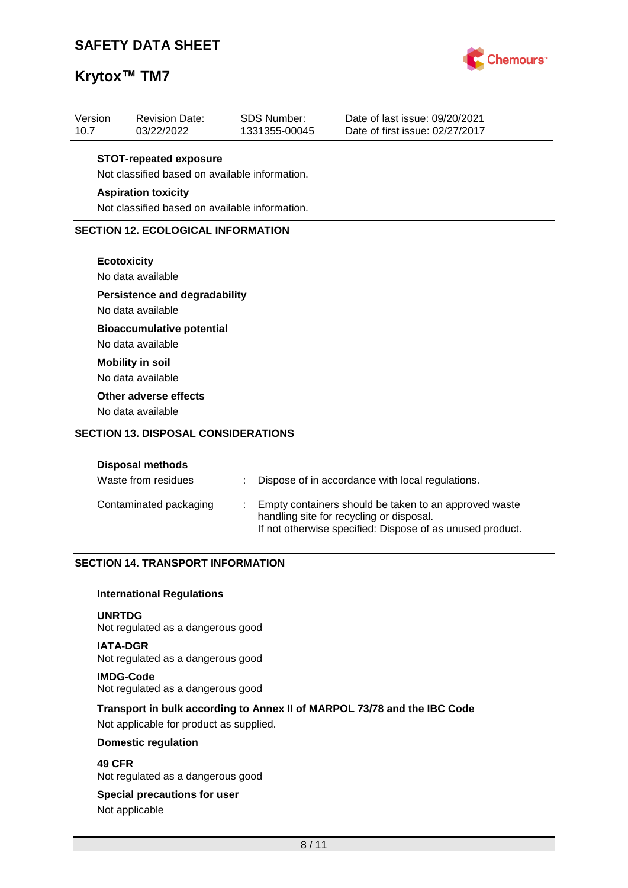## **Krytox™ TM7**



| Version<br>10.7 | <b>Revision Date:</b><br>03/22/2022            | <b>SDS Number:</b><br>1331355-00045 | Date of last issue: 09/20/2021<br>Date of first issue: 02/27/2017 |  |  |  |
|-----------------|------------------------------------------------|-------------------------------------|-------------------------------------------------------------------|--|--|--|
|                 |                                                |                                     |                                                                   |  |  |  |
|                 | <b>STOT-repeated exposure</b>                  |                                     |                                                                   |  |  |  |
|                 | Not classified based on available information. |                                     |                                                                   |  |  |  |
|                 | <b>Aspiration toxicity</b>                     |                                     |                                                                   |  |  |  |
|                 | Not classified based on available information. |                                     |                                                                   |  |  |  |
|                 | <b>SECTION 12. ECOLOGICAL INFORMATION</b>      |                                     |                                                                   |  |  |  |
|                 |                                                |                                     |                                                                   |  |  |  |
|                 | <b>Ecotoxicity</b>                             |                                     |                                                                   |  |  |  |
|                 | No data available                              |                                     |                                                                   |  |  |  |
|                 | <b>Persistence and degradability</b>           |                                     |                                                                   |  |  |  |
|                 | No data available                              |                                     |                                                                   |  |  |  |
|                 | <b>Bioaccumulative potential</b>               |                                     |                                                                   |  |  |  |
|                 | No data available                              |                                     |                                                                   |  |  |  |
|                 | <b>Mobility in soil</b>                        |                                     |                                                                   |  |  |  |
|                 | No data available                              |                                     |                                                                   |  |  |  |
|                 | Other adverse effects                          |                                     |                                                                   |  |  |  |
|                 | No data available                              |                                     |                                                                   |  |  |  |
|                 | <b>SECTION 13. DISPOSAL CONSIDERATIONS</b>     |                                     |                                                                   |  |  |  |

#### **Disposal methods**

| Waste from residues    | : Dispose of in accordance with local regulations.                                                                                                             |
|------------------------|----------------------------------------------------------------------------------------------------------------------------------------------------------------|
| Contaminated packaging | Empty containers should be taken to an approved waste<br>handling site for recycling or disposal.<br>If not otherwise specified: Dispose of as unused product. |

#### **SECTION 14. TRANSPORT INFORMATION**

#### **International Regulations**

#### **UNRTDG**

Not regulated as a dangerous good

#### **IATA-DGR**

Not regulated as a dangerous good

### **IMDG-Code**

Not regulated as a dangerous good

### **Transport in bulk according to Annex II of MARPOL 73/78 and the IBC Code**

Not applicable for product as supplied.

#### **Domestic regulation**

**49 CFR**

Not regulated as a dangerous good

#### **Special precautions for user**

Not applicable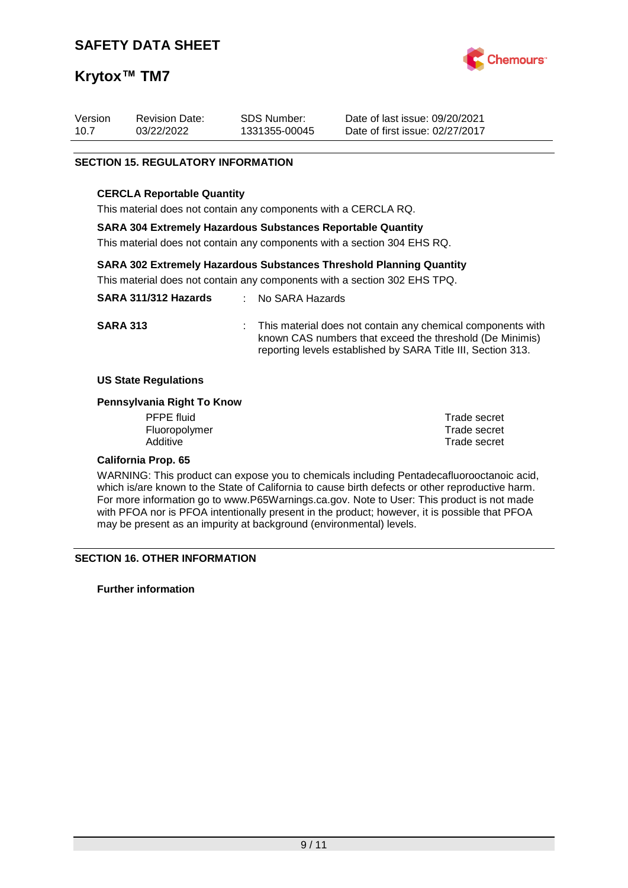

| Version | <b>Revision Date:</b> | SDS Number:   | Date of last issue: 09/20/2021  |
|---------|-----------------------|---------------|---------------------------------|
| 10.7    | 03/22/2022            | 1331355-00045 | Date of first issue: 02/27/2017 |

#### **SECTION 15. REGULATORY INFORMATION**

#### **CERCLA Reportable Quantity**

This material does not contain any components with a CERCLA RQ.

#### **SARA 304 Extremely Hazardous Substances Reportable Quantity**

This material does not contain any components with a section 304 EHS RQ.

#### **SARA 302 Extremely Hazardous Substances Threshold Planning Quantity**

This material does not contain any components with a section 302 EHS TPQ.

| SARA 311/312 Hazards | : No SARA Hazards                                                                                                                                                              |
|----------------------|--------------------------------------------------------------------------------------------------------------------------------------------------------------------------------|
| <b>SARA 313</b>      | This material does not contain any chemical components with<br>the contract of the contract of the contract of the contract of the contract of the contract of the contract of |

#### **US State Regulations**

#### **Pennsylvania Right To Know**

PFPE fluid Trade secret Fluoropolymer entertainment of the secret of the Trade secret of the Trade secret Additive of the Trade secret

**Trade secret** 

known CAS numbers that exceed the threshold (De Minimis) reporting levels established by SARA Title III, Section 313.

#### **California Prop. 65**

WARNING: This product can expose you to chemicals including Pentadecafluorooctanoic acid, which is/are known to the State of California to cause birth defects or other reproductive harm. For more information go to www.P65Warnings.ca.gov. Note to User: This product is not made with PFOA nor is PFOA intentionally present in the product; however, it is possible that PFOA may be present as an impurity at background (environmental) levels.

#### **SECTION 16. OTHER INFORMATION**

**Further information**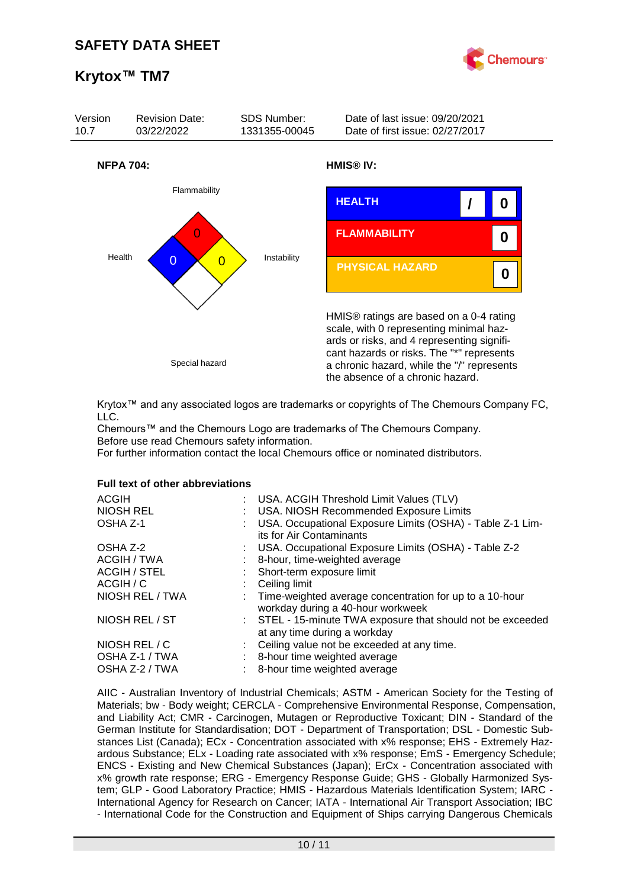



Krytox™ and any associated logos are trademarks or copyrights of The Chemours Company FC, LLC.

Chemours™ and the Chemours Logo are trademarks of The Chemours Company. Before use read Chemours safety information.

For further information contact the local Chemours office or nominated distributors.

#### **Full text of other abbreviations**

| <b>ACGIH</b><br>NIOSH REL | : USA. ACGIH Threshold Limit Values (TLV)<br>: USA. NIOSH Recommended Exposure Limits          |
|---------------------------|------------------------------------------------------------------------------------------------|
| OSHA Z-1                  | USA. Occupational Exposure Limits (OSHA) - Table Z-1 Lim-<br>its for Air Contaminants          |
| OSHA Z-2                  | : USA. Occupational Exposure Limits (OSHA) - Table Z-2                                         |
| ACGIH / TWA               | 8-hour, time-weighted average                                                                  |
| <b>ACGIH / STEL</b>       | : Short-term exposure limit                                                                    |
| ACGIH / C                 | $\therefore$ Ceiling limit                                                                     |
| NIOSH REL / TWA           | : Time-weighted average concentration for up to a 10-hour<br>workday during a 40-hour workweek |
| NIOSH REL / ST            | : STEL - 15-minute TWA exposure that should not be exceeded<br>at any time during a workday    |
| NIOSH REL / C             | : Ceiling value not be exceeded at any time.                                                   |
| OSHA Z-1 / TWA            | : 8-hour time weighted average                                                                 |
| OSHA Z-2 / TWA            | : 8-hour time weighted average                                                                 |
|                           |                                                                                                |

AIIC - Australian Inventory of Industrial Chemicals; ASTM - American Society for the Testing of Materials; bw - Body weight; CERCLA - Comprehensive Environmental Response, Compensation, and Liability Act; CMR - Carcinogen, Mutagen or Reproductive Toxicant; DIN - Standard of the German Institute for Standardisation; DOT - Department of Transportation; DSL - Domestic Substances List (Canada); ECx - Concentration associated with x% response; EHS - Extremely Hazardous Substance; ELx - Loading rate associated with x% response; EmS - Emergency Schedule; ENCS - Existing and New Chemical Substances (Japan); ErCx - Concentration associated with x% growth rate response; ERG - Emergency Response Guide; GHS - Globally Harmonized System; GLP - Good Laboratory Practice; HMIS - Hazardous Materials Identification System; IARC - International Agency for Research on Cancer; IATA - International Air Transport Association; IBC - International Code for the Construction and Equipment of Ships carrying Dangerous Chemicals